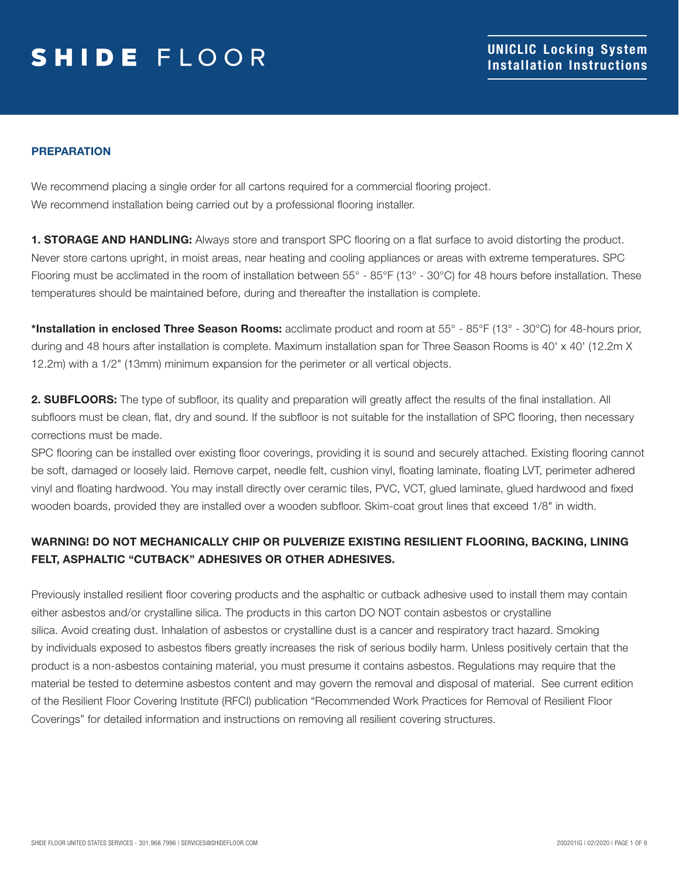### PREPARATION

We recommend placing a single order for all cartons required for a commercial flooring project. We recommend installation being carried out by a professional flooring installer.

1. STORAGE AND HANDLING: Always store and transport SPC flooring on a flat surface to avoid distorting the product. Never store cartons upright, in moist areas, near heating and cooling appliances or areas with extreme temperatures. SPC Flooring must be acclimated in the room of installation between 55° - 85°F (13° - 30°C) for 48 hours before installation. These temperatures should be maintained before, during and thereafter the installation is complete.

\*Installation in enclosed Three Season Rooms: acclimate product and room at 55° - 85°F (13° - 30°C) for 48-hours prior, during and 48 hours after installation is complete. Maximum installation span for Three Season Rooms is 40' x 40' (12.2m X 12.2m) with a 1/2" (13mm) minimum expansion for the perimeter or all vertical objects.

2. SUBFLOORS: The type of subfloor, its quality and preparation will greatly affect the results of the final installation. All subfloors must be clean, flat, dry and sound. If the subfloor is not suitable for the installation of SPC flooring, then necessary corrections must be made.

SPC flooring can be installed over existing floor coverings, providing it is sound and securely attached. Existing flooring cannot be soft, damaged or loosely laid. Remove carpet, needle felt, cushion vinyl, floating laminate, floating LVT, perimeter adhered vinyl and floating hardwood. You may install directly over ceramic tiles, PVC, VCT, glued laminate, glued hardwood and fixed wooden boards, provided they are installed over a wooden subfloor. Skim-coat grout lines that exceed 1/8" in width.

### WARNING! DO NOT MECHANICALLY CHIP OR PULVERIZE EXISTING RESILIENT FLOORING, BACKING, LINING FELT, ASPHALTIC "CUTBACK" ADHESIVES OR OTHER ADHESIVES.

Previously installed resilient floor covering products and the asphaltic or cutback adhesive used to install them may contain either asbestos and/or crystalline silica. The products in this carton DO NOT contain asbestos or crystalline silica. Avoid creating dust. Inhalation of asbestos or crystalline dust is a cancer and respiratory tract hazard. Smoking by individuals exposed to asbestos fibers greatly increases the risk of serious bodily harm. Unless positively certain that the product is a non-asbestos containing material, you must presume it contains asbestos. Regulations may require that the material be tested to determine asbestos content and may govern the removal and disposal of material. See current edition of the Resilient Floor Covering Institute (RFCI) publication "Recommended Work Practices for Removal of Resilient Floor Coverings" for detailed information and instructions on removing all resilient covering structures.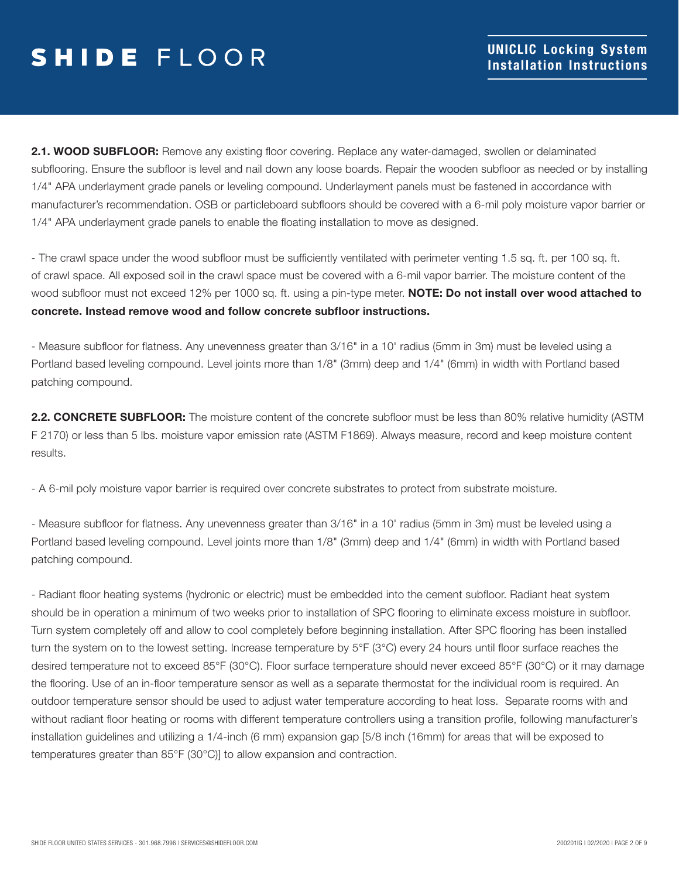2.1. WOOD SUBFLOOR: Remove any existing floor covering. Replace any water-damaged, swollen or delaminated subflooring. Ensure the subfloor is level and nail down any loose boards. Repair the wooden subfloor as needed or by installing 1/4" APA underlayment grade panels or leveling compound. Underlayment panels must be fastened in accordance with manufacturer's recommendation. OSB or particleboard subfloors should be covered with a 6-mil poly moisture vapor barrier or 1/4" APA underlayment grade panels to enable the floating installation to move as designed.

- The crawl space under the wood subfloor must be sufficiently ventilated with perimeter venting 1.5 sq. ft. per 100 sq. ft. of crawl space. All exposed soil in the crawl space must be covered with a 6-mil vapor barrier. The moisture content of the wood subfloor must not exceed 12% per 1000 sq. ft. using a pin-type meter. NOTE: Do not install over wood attached to concrete. Instead remove wood and follow concrete subfloor instructions.

- Measure subfloor for flatness. Any unevenness greater than 3/16" in a 10' radius (5mm in 3m) must be leveled using a Portland based leveling compound. Level joints more than 1/8" (3mm) deep and 1/4" (6mm) in width with Portland based patching compound.

2.2. CONCRETE SUBFLOOR: The moisture content of the concrete subfloor must be less than 80% relative humidity (ASTM F 2170) or less than 5 lbs. moisture vapor emission rate (ASTM F1869). Always measure, record and keep moisture content results.

- A 6-mil poly moisture vapor barrier is required over concrete substrates to protect from substrate moisture.

- Measure subfloor for flatness. Any unevenness greater than 3/16" in a 10' radius (5mm in 3m) must be leveled using a Portland based leveling compound. Level joints more than 1/8" (3mm) deep and 1/4" (6mm) in width with Portland based patching compound.

- Radiant floor heating systems (hydronic or electric) must be embedded into the cement subfloor. Radiant heat system should be in operation a minimum of two weeks prior to installation of SPC flooring to eliminate excess moisture in subfloor. Turn system completely off and allow to cool completely before beginning installation. After SPC flooring has been installed turn the system on to the lowest setting. Increase temperature by 5°F (3°C) every 24 hours until floor surface reaches the desired temperature not to exceed 85°F (30°C). Floor surface temperature should never exceed 85°F (30°C) or it may damage the flooring. Use of an in-floor temperature sensor as well as a separate thermostat for the individual room is required. An outdoor temperature sensor should be used to adjust water temperature according to heat loss. Separate rooms with and without radiant floor heating or rooms with different temperature controllers using a transition profile, following manufacturer's installation guidelines and utilizing a 1/4-inch (6 mm) expansion gap [5/8 inch (16mm) for areas that will be exposed to temperatures greater than 85°F (30°C)] to allow expansion and contraction.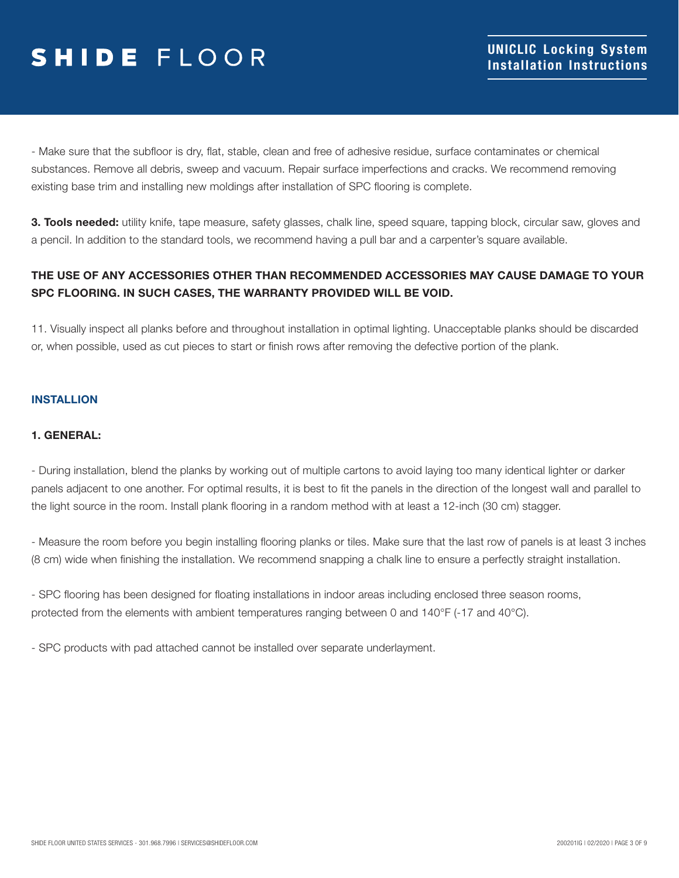- Make sure that the subfloor is dry, flat, stable, clean and free of adhesive residue, surface contaminates or chemical substances. Remove all debris, sweep and vacuum. Repair surface imperfections and cracks. We recommend removing existing base trim and installing new moldings after installation of SPC flooring is complete.

**3. Tools needed:** utility knife, tape measure, safety glasses, chalk line, speed square, tapping block, circular saw, gloves and a pencil. In addition to the standard tools, we recommend having a pull bar and a carpenter's square available.

### THE USE OF ANY ACCESSORIES OTHER THAN RECOMMENDED ACCESSORIES MAY CAUSE DAMAGE TO YOUR SPC FLOORING. IN SUCH CASES, THE WARRANTY PROVIDED WILL BE VOID.

11. Visually inspect all planks before and throughout installation in optimal lighting. Unacceptable planks should be discarded or, when possible, used as cut pieces to start or finish rows after removing the defective portion of the plank.

### INSTALLION

#### 1. GENERAL:

- During installation, blend the planks by working out of multiple cartons to avoid laying too many identical lighter or darker panels adjacent to one another. For optimal results, it is best to fit the panels in the direction of the longest wall and parallel to the light source in the room. Install plank flooring in a random method with at least a 12-inch (30 cm) stagger.

- Measure the room before you begin installing flooring planks or tiles. Make sure that the last row of panels is at least 3 inches (8 cm) wide when finishing the installation. We recommend snapping a chalk line to ensure a perfectly straight installation.

- SPC flooring has been designed for floating installations in indoor areas including enclosed three season rooms, protected from the elements with ambient temperatures ranging between 0 and 140°F (-17 and 40°C).

- SPC products with pad attached cannot be installed over separate underlayment.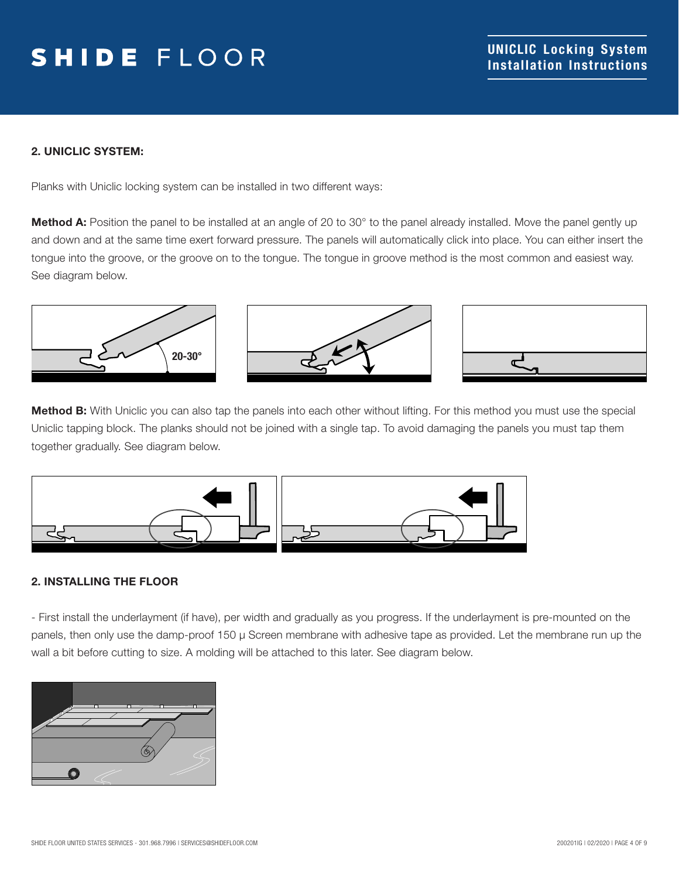### 2. UNICLIC SYSTEM:

Planks with Uniclic locking system can be installed in two different ways:

Method A: Position the panel to be installed at an angle of 20 to 30° to the panel already installed. Move the panel gently up and down and at the same time exert forward pressure. The panels will automatically click into place. You can either insert the tongue into the groove, or the groove on to the tongue. The tongue in groove method is the most common and easiest way. See diagram below.



Method B: With Uniclic you can also tap the panels into each other without lifting. For this method you must use the special Uniclic tapping block. The planks should not be joined with a single tap. To avoid damaging the panels you must tap them together gradually. See diagram below.



#### 2. INSTALLING THE FLOOR

- First install the underlayment (if have), per width and gradually as you progress. If the underlayment is pre-mounted on the panels, then only use the damp-proof 150 μ Screen membrane with adhesive tape as provided. Let the membrane run up the wall a bit before cutting to size. A molding will be attached to this later. See diagram below.

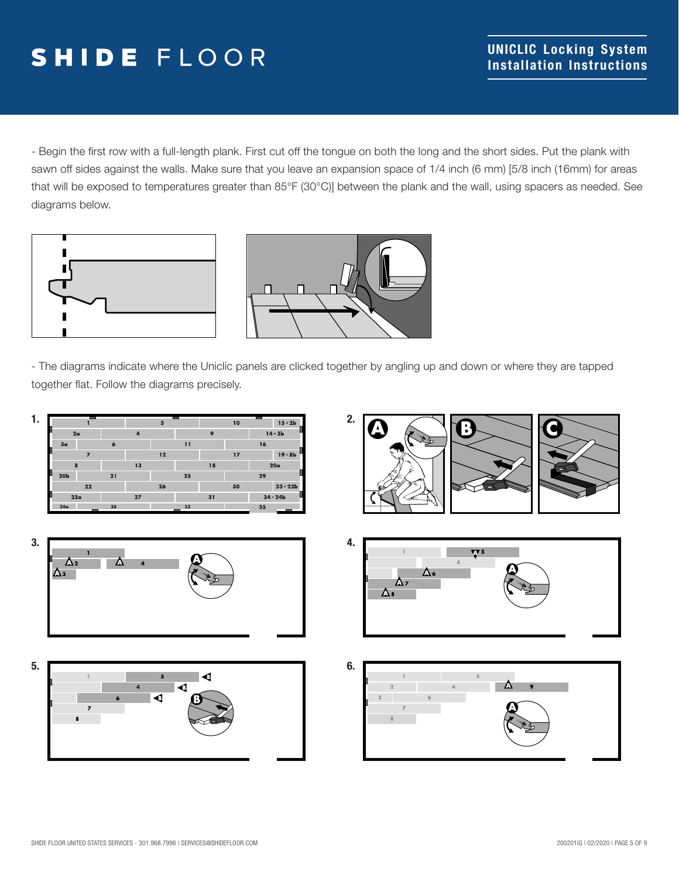- Begin the first row with a full-length plank. First cut off the tongue on both the long and the short sides. Put the plank with sawn off sides against the walls. Make sure that you leave an expansion space of 1/4 inch (6 mm) [5/8 inch (16mm) for areas that will be exposed to temperatures greater than 85°F (30°C)] between the plank and the wall, using spacers as needed. See diagrams below.





- The diagrams indicate where the Uniclic panels are clicked together by angling up and down or where they are tapped together flat. Follow the diagrams precisely.

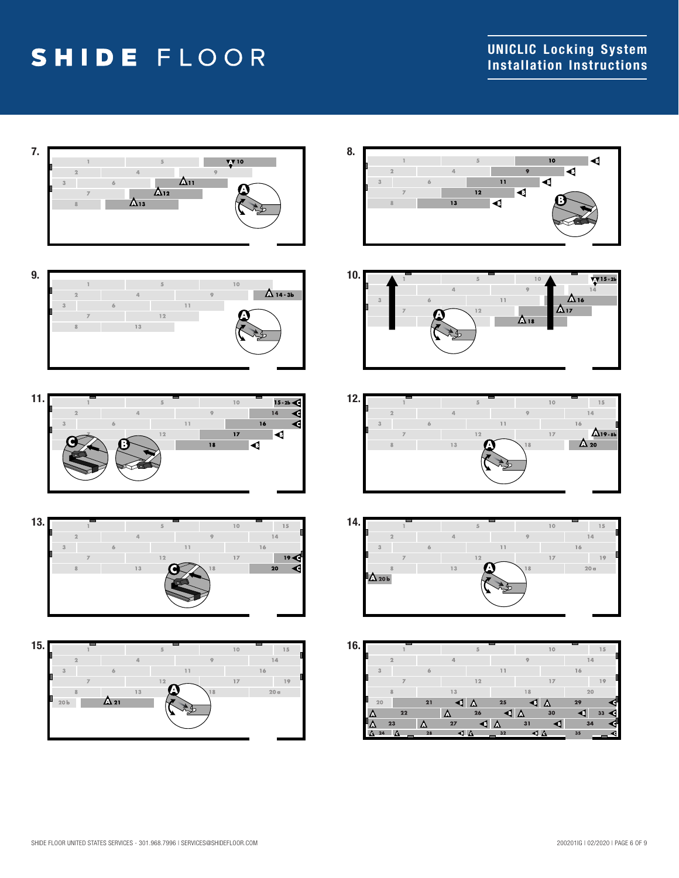

















|     | 24             | o              | 28 | ⊲ ∆      |    | 32 | ⊲ ∆ |    | 35 |    |  |
|-----|----------------|----------------|----|----------|----|----|-----|----|----|----|--|
|     | n              | 23             | Δ  | 27       | G  | D  | 31  | В  |    | 34 |  |
|     | Δ              | 22             |    | Δ        | 26 | ◀  | Δ   | 30 |    | 33 |  |
|     | 20             |                | 21 | T.       | Δ  | 25 | ◀   | Δ  | 29 |    |  |
|     |                | 8              |    | 13       |    |    | 18  |    |    | 20 |  |
|     |                |                |    |          | 12 |    |     | 17 |    | 19 |  |
|     | $\overline{3}$ |                | 6  |          |    | 11 |     |    | 16 |    |  |
|     |                | $\overline{2}$ |    | $\Delta$ |    |    | 9   |    |    | 14 |  |
| 16. |                |                |    |          | 5  |    |     | 10 |    | 15 |  |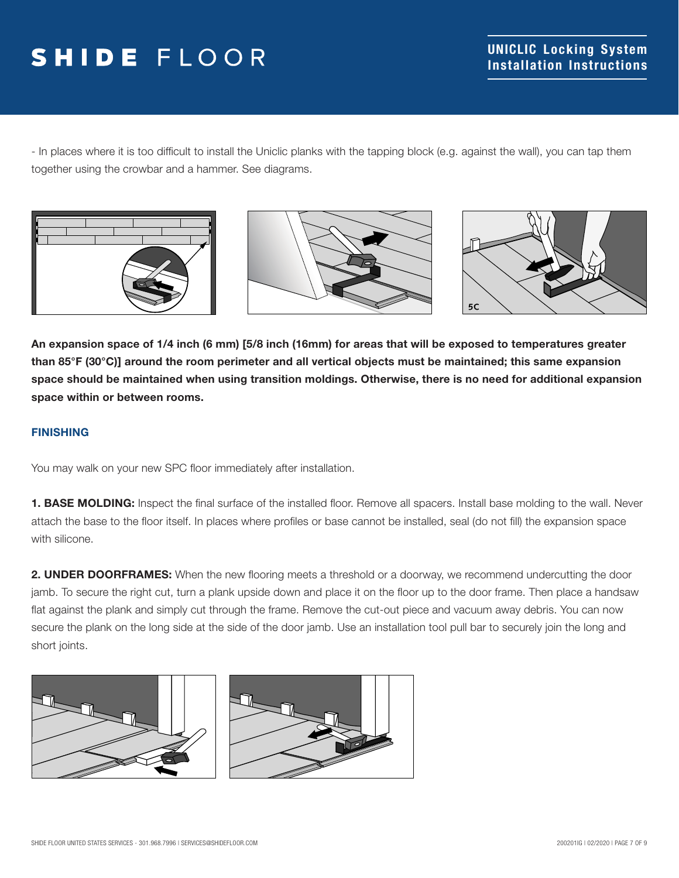- In places where it is too difficult to install the Uniclic planks with the tapping block (e.g. against the wall), you can tap them together using the crowbar and a hammer. See diagrams.







An expansion space of 1/4 inch (6 mm) [5/8 inch (16mm) for areas that will be exposed to temperatures greater than 85°F (30°C)] around the room perimeter and all vertical objects must be maintained; this same expansion space should be maintained when using transition moldings. Otherwise, there is no need for additional expansion space within or between rooms.

### FINISHING

You may walk on your new SPC floor immediately after installation.

1. BASE MOLDING: Inspect the final surface of the installed floor. Remove all spacers. Install base molding to the wall. Never attach the base to the floor itself. In places where profiles or base cannot be installed, seal (do not fill) the expansion space with silicone.

2. UNDER DOORFRAMES: When the new flooring meets a threshold or a doorway, we recommend undercutting the door jamb. To secure the right cut, turn a plank upside down and place it on the floor up to the door frame. Then place a handsaw flat against the plank and simply cut through the frame. Remove the cut-out piece and vacuum away debris. You can now secure the plank on the long side at the side of the door jamb. Use an installation tool pull bar to securely join the long and short joints.



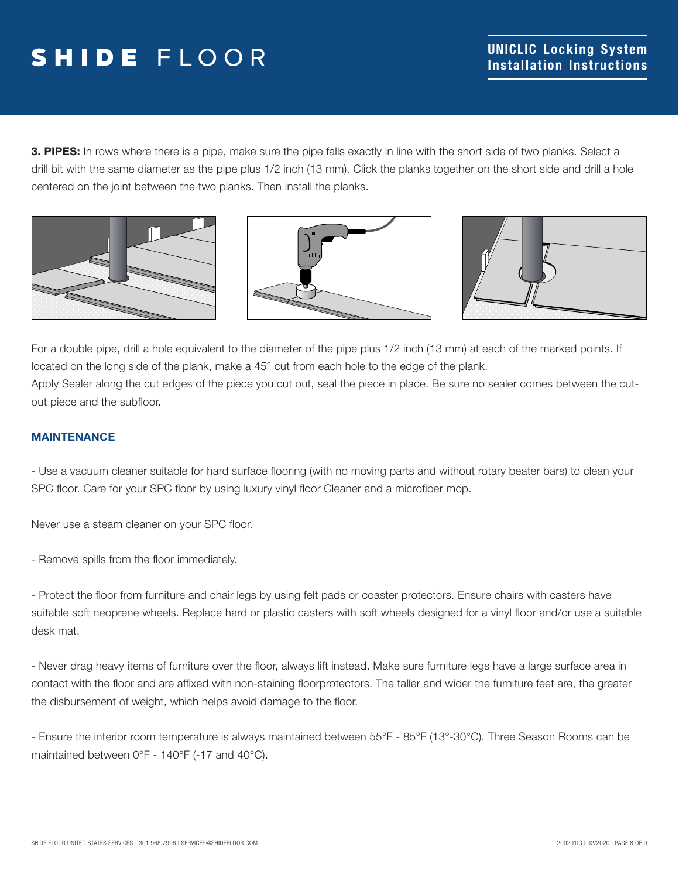3. PIPES: In rows where there is a pipe, make sure the pipe falls exactly in line with the short side of two planks. Select a drill bit with the same diameter as the pipe plus 1/2 inch (13 mm). Click the planks together on the short side and drill a hole centered on the joint between the two planks. Then install the planks.







For a double pipe, drill a hole equivalent to the diameter of the pipe plus 1/2 inch (13 mm) at each of the marked points. If located on the long side of the plank, make a 45° cut from each hole to the edge of the plank. Apply Sealer along the cut edges of the piece you cut out, seal the piece in place. Be sure no sealer comes between the cutout piece and the subfloor.

#### MAINTENANCE

- Use a vacuum cleaner suitable for hard surface flooring (with no moving parts and without rotary beater bars) to clean your SPC floor. Care for your SPC floor by using luxury vinyl floor Cleaner and a microfiber mop.

Never use a steam cleaner on your SPC floor.

- Remove spills from the floor immediately.

- Protect the floor from furniture and chair legs by using felt pads or coaster protectors. Ensure chairs with casters have suitable soft neoprene wheels. Replace hard or plastic casters with soft wheels designed for a vinyl floor and/or use a suitable desk mat.

- Never drag heavy items of furniture over the floor, always lift instead. Make sure furniture legs have a large surface area in contact with the floor and are affixed with non-staining floorprotectors. The taller and wider the furniture feet are, the greater the disbursement of weight, which helps avoid damage to the floor.

- Ensure the interior room temperature is always maintained between 55°F - 85°F (13°-30°C). Three Season Rooms can be maintained between 0°F - 140°F (-17 and 40°C).